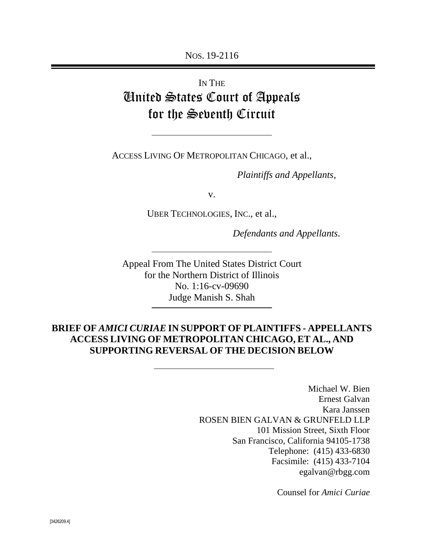NOS. 19-2116

# IN THE United States Court of Appeals for the Seventh Circuit

ACCESS LIVING OF METROPOLITAN CHICAGO, et al.,

*Plaintiffs and Appellants,*

v.

UBER TECHNOLOGIES, INC., et al.,

*Defendants and Appellants.*

Appeal From The United States District Court for the Northern District of Illinois No. 1:16-cv-09690 Judge Manish S. Shah

### **BRIEF OF** *AMICI CURIAE* **IN SUPPORT OF PLAINTIFFS - APPELLANTS ACCESS LIVING OF METROPOLITAN CHICAGO, ET AL., AND SUPPORTING REVERSAL OF THE DECISION BELOW**

Michael W. Bien Ernest Galvan Kara Janssen ROSEN BIEN GALVAN & GRUNFELD LLP 101 Mission Street, Sixth Floor San Francisco, California 94105-1738 Telephone: (415) 433-6830 Facsimile: (415) 433-7104 egalvan@rbgg.com

Counsel for *Amici Curiae*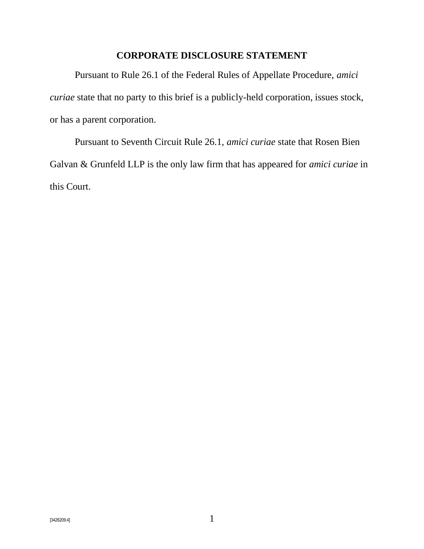### **CORPORATE DISCLOSURE STATEMENT**

<span id="page-1-0"></span>Pursuant to Rule 26.1 of the Federal Rules of Appellate Procedure, *amici curiae* state that no party to this brief is a publicly-held corporation, issues stock, or has a parent corporation.

Pursuant to Seventh Circuit Rule 26.1, *amici curiae* state that Rosen Bien Galvan & Grunfeld LLP is the only law firm that has appeared for *amici curiae* in this Court.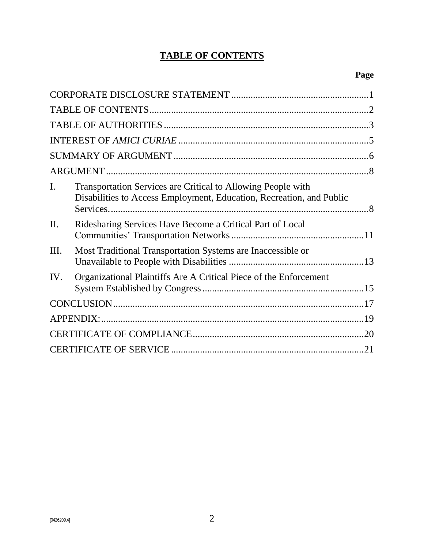## **TABLE OF CONTENTS**

<span id="page-2-0"></span>

| I.              | Transportation Services are Critical to Allowing People with<br>Disabilities to Access Employment, Education, Recreation, and Public |  |  |
|-----------------|--------------------------------------------------------------------------------------------------------------------------------------|--|--|
| $\mathbf{II}$ . | Ridesharing Services Have Become a Critical Part of Local                                                                            |  |  |
| III.            | Most Traditional Transportation Systems are Inaccessible or                                                                          |  |  |
| IV.             | Organizational Plaintiffs Are A Critical Piece of the Enforcement                                                                    |  |  |
|                 |                                                                                                                                      |  |  |
|                 |                                                                                                                                      |  |  |
|                 |                                                                                                                                      |  |  |
|                 |                                                                                                                                      |  |  |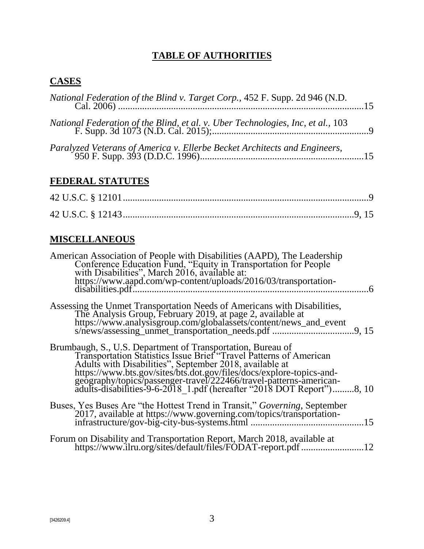## **TABLE OF AUTHORITIES**

## <span id="page-3-0"></span>**CASES**

## **FEDERAL STATUTES**

## **MISCELLANEOUS**

| American Association of People with Disabilities (AAPD), The Leadership<br>Conference Education Fund, "Equity in Transportation for People<br>with Disabilities", March 2016, available at:<br>https://www.aapd.com/wp-content/uploads/2016/03/transportation-<br>disabilities.pdf                                                                                                                                              |
|---------------------------------------------------------------------------------------------------------------------------------------------------------------------------------------------------------------------------------------------------------------------------------------------------------------------------------------------------------------------------------------------------------------------------------|
| Assessing the Unmet Transportation Needs of Americans with Disabilities,<br>The Analysis Group, February 2019, at page 2, available at                                                                                                                                                                                                                                                                                          |
| Brumbaugh, S., U.S. Department of Transportation, Bureau of<br>Transportation Statistics Issue Brief <sup>*</sup> Travel Patterns of American<br>Adults with Disabilities", September 2018, available at<br>https://www.bts.gov/sites/bts.dot.gov/files/docs/explore-topics-and-<br>geography/topics/passenger-travel/222466/travel-patterns-american-<br>adults-disabilities-9-6-2018_1.pdf (hereafter "2018 DOT Report")8, 10 |
| Buses, Yes Buses Are "the Hottest Trend in Transit," <i>Governing</i> , September<br>2017, available at https://www.governing.com/topics/transportation-                                                                                                                                                                                                                                                                        |
| Forum on Disability and Transportation Report, March 2018, available at<br>https://www.ilru.org/sites/default/files/FODAT-report.pdf<br>12                                                                                                                                                                                                                                                                                      |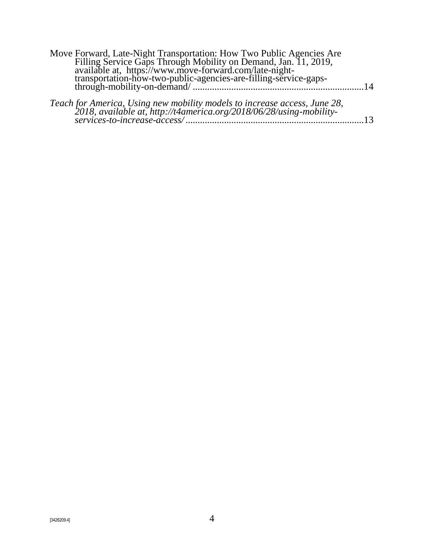| Move Forward, Late-Night Transportation: How Two Public Agencies Are<br>Filling Service Gaps Through Mobility on Demand, Jan. 11, 2019,<br>available at, https://www.move-forward.com/late-night-<br>transportation-how-two-public-agen |                 |
|-----------------------------------------------------------------------------------------------------------------------------------------------------------------------------------------------------------------------------------------|-----------------|
|                                                                                                                                                                                                                                         | $\overline{14}$ |
|                                                                                                                                                                                                                                         | 12.             |
|                                                                                                                                                                                                                                         |                 |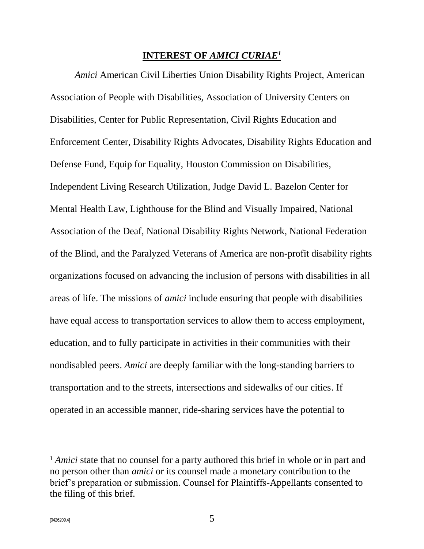#### **INTEREST OF** *AMICI CURIAE<sup>1</sup>*

<span id="page-5-0"></span>*Amici* American Civil Liberties Union Disability Rights Project, American Association of People with Disabilities, Association of University Centers on Disabilities, Center for Public Representation, Civil Rights Education and Enforcement Center, Disability Rights Advocates, Disability Rights Education and Defense Fund, Equip for Equality, Houston Commission on Disabilities, Independent Living Research Utilization, Judge David L. Bazelon Center for Mental Health Law, Lighthouse for the Blind and Visually Impaired, National Association of the Deaf, National Disability Rights Network, National Federation of the Blind, and the Paralyzed Veterans of America are non-profit disability rights organizations focused on advancing the inclusion of persons with disabilities in all areas of life. The missions of *amici* include ensuring that people with disabilities have equal access to transportation services to allow them to access employment, education, and to fully participate in activities in their communities with their nondisabled peers. *Amici* are deeply familiar with the long-standing barriers to transportation and to the streets, intersections and sidewalks of our cities. If operated in an accessible manner, ride-sharing services have the potential to

<sup>&</sup>lt;sup>1</sup> *Amici* state that no counsel for a party authored this brief in whole or in part and no person other than *amici* or its counsel made a monetary contribution to the brief's preparation or submission. Counsel for Plaintiffs-Appellants consented to the filing of this brief.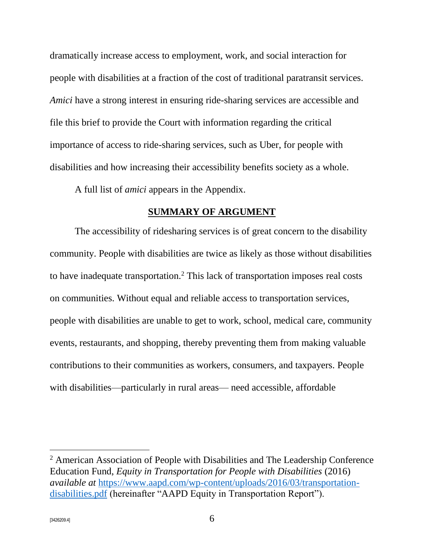dramatically increase access to employment, work, and social interaction for people with disabilities at a fraction of the cost of traditional paratransit services. *Amici* have a strong interest in ensuring ride-sharing services are accessible and file this brief to provide the Court with information regarding the critical importance of access to ride-sharing services, such as Uber, for people with disabilities and how increasing their accessibility benefits society as a whole.

A full list of *amici* appears in the Appendix.

#### **SUMMARY OF ARGUMENT**

<span id="page-6-0"></span>The accessibility of ridesharing services is of great concern to the disability community. People with disabilities are twice as likely as those without disabilities to have inadequate transportation.<sup>2</sup> This lack of transportation imposes real costs on communities. Without equal and reliable access to transportation services, people with disabilities are unable to get to work, school, medical care, community events, restaurants, and shopping, thereby preventing them from making valuable contributions to their communities as workers, consumers, and taxpayers. People with disabilities—particularly in rural areas— need accessible, affordable

<sup>2</sup> American Association of People with Disabilities and The Leadership Conference Education Fund, *Equity in Transportation for People with Disabilities* (2016) *available at* [https://www.aapd.com/wp-content/uploads/2016/03/transportation](https://www.aapd.com/wp-content/uploads/2016/03/transportation-disabilities.pdf)[disabilities.pdf](https://www.aapd.com/wp-content/uploads/2016/03/transportation-disabilities.pdf) (hereinafter "AAPD Equity in Transportation Report").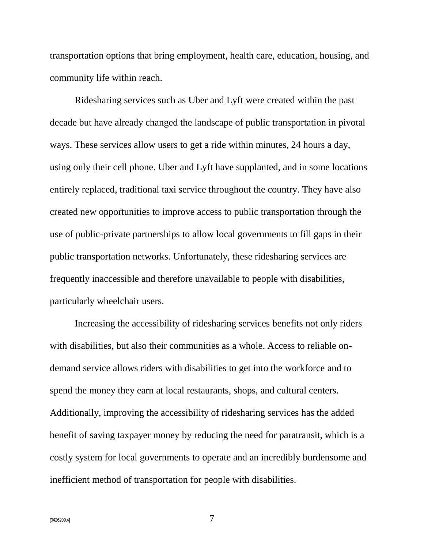transportation options that bring employment, health care, education, housing, and community life within reach.

Ridesharing services such as Uber and Lyft were created within the past decade but have already changed the landscape of public transportation in pivotal ways. These services allow users to get a ride within minutes, 24 hours a day, using only their cell phone. Uber and Lyft have supplanted, and in some locations entirely replaced, traditional taxi service throughout the country. They have also created new opportunities to improve access to public transportation through the use of public-private partnerships to allow local governments to fill gaps in their public transportation networks. Unfortunately, these ridesharing services are frequently inaccessible and therefore unavailable to people with disabilities, particularly wheelchair users.

Increasing the accessibility of ridesharing services benefits not only riders with disabilities, but also their communities as a whole. Access to reliable ondemand service allows riders with disabilities to get into the workforce and to spend the money they earn at local restaurants, shops, and cultural centers. Additionally, improving the accessibility of ridesharing services has the added benefit of saving taxpayer money by reducing the need for paratransit, which is a costly system for local governments to operate and an incredibly burdensome and inefficient method of transportation for people with disabilities.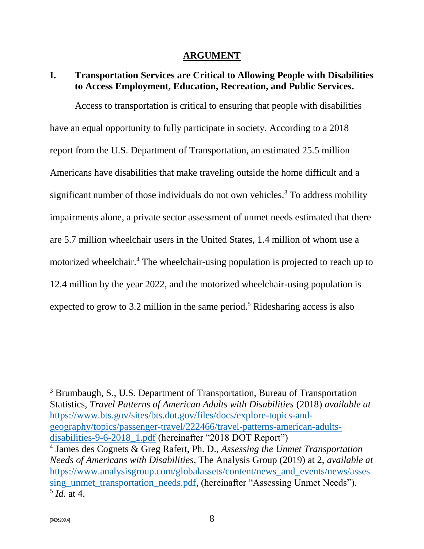#### **ARGUMENT**

#### <span id="page-8-1"></span><span id="page-8-0"></span>**I. Transportation Services are Critical to Allowing People with Disabilities to Access Employment, Education, Recreation, and Public Services.**

Access to transportation is critical to ensuring that people with disabilities have an equal opportunity to fully participate in society. According to a 2018 report from the U.S. Department of Transportation, an estimated 25.5 million Americans have disabilities that make traveling outside the home difficult and a significant number of those individuals do not own vehicles.<sup>3</sup> To address mobility impairments alone, a private sector assessment of unmet needs estimated that there are 5.7 million wheelchair users in the United States, 1.4 million of whom use a motorized wheelchair.<sup>4</sup> The wheelchair-using population is projected to reach up to 12.4 million by the year 2022, and the motorized wheelchair-using population is expected to grow to 3.2 million in the same period.<sup>5</sup> Ridesharing access is also

<sup>3</sup> Brumbaugh, S., U.S. Department of Transportation, Bureau of Transportation Statistics, *Travel Patterns of American Adults with Disabilities* (2018) *available at* [https://www.bts.gov/sites/bts.dot.gov/files/docs/explore-topics-and](https://www.bts.gov/sites/bts.dot.gov/files/docs/explore-topics-and-geography/topics/passenger-travel/222466/travel-patterns-american-adults-disabilities-9-6-2018_1.pdf)[geography/topics/passenger-travel/222466/travel-patterns-american-adults](https://www.bts.gov/sites/bts.dot.gov/files/docs/explore-topics-and-geography/topics/passenger-travel/222466/travel-patterns-american-adults-disabilities-9-6-2018_1.pdf)[disabilities-9-6-2018\\_1.pdf](https://www.bts.gov/sites/bts.dot.gov/files/docs/explore-topics-and-geography/topics/passenger-travel/222466/travel-patterns-american-adults-disabilities-9-6-2018_1.pdf) (hereinafter "2018 DOT Report")

<sup>4</sup> James des Cognets & Greg Rafert, Ph. D., *Assessing the Unmet Transportation Needs of Americans with Disabilities*, The Analysis Group (2019) at 2, *available at* [https://www.analysisgroup.com/globalassets/content/news\\_and\\_events/news/asses](https://www.analysisgroup.com/globalassets/content/news_and_events/news/assessing_unmet_transportation_needs.pdf) [sing\\_unmet\\_transportation\\_needs.pdf,](https://www.analysisgroup.com/globalassets/content/news_and_events/news/assessing_unmet_transportation_needs.pdf) (hereinafter "Assessing Unmet Needs"). 5 *Id.* at 4.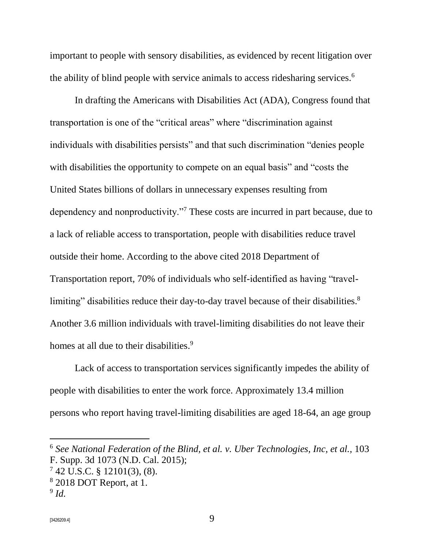important to people with sensory disabilities, as evidenced by recent litigation over the ability of blind people with service animals to access ridesharing services.<sup>6</sup>

In drafting the Americans with Disabilities Act (ADA), Congress found that transportation is one of the "critical areas" where "discrimination against individuals with disabilities persists" and that such discrimination "denies people with disabilities the opportunity to compete on an equal basis" and "costs the United States billions of dollars in unnecessary expenses resulting from dependency and nonproductivity."<sup>7</sup> These costs are incurred in part because, due to a lack of reliable access to transportation, people with disabilities reduce travel outside their home. According to the above cited 2018 Department of Transportation report, 70% of individuals who self-identified as having "travellimiting" disabilities reduce their day-to-day travel because of their disabilities.<sup>8</sup> Another 3.6 million individuals with travel-limiting disabilities do not leave their homes at all due to their disabilities.<sup>9</sup>

Lack of access to transportation services significantly impedes the ability of people with disabilities to enter the work force. Approximately 13.4 million persons who report having travel-limiting disabilities are aged 18-64, an age group

<sup>6</sup> *See National Federation of the Blind, et al. v. Uber Technologies, Inc, et al.,* 103 F. Supp. 3d 1073 (N.D. Cal. 2015);

 $7$  42 U.S.C. § 12101(3), (8).

<sup>8</sup> 2018 DOT Report, at 1.

<sup>9</sup> *Id.*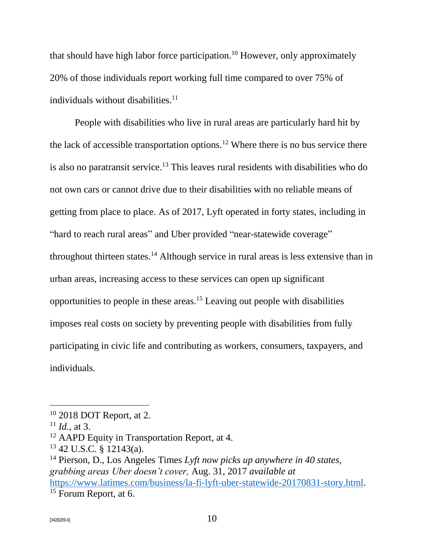that should have high labor force participation.<sup>10</sup> However, only approximately 20% of those individuals report working full time compared to over 75% of individuals without disabilities. $11$ 

People with disabilities who live in rural areas are particularly hard hit by the lack of accessible transportation options.<sup>12</sup> Where there is no bus service there is also no paratransit service.<sup>13</sup> This leaves rural residents with disabilities who do not own cars or cannot drive due to their disabilities with no reliable means of getting from place to place. As of 2017, Lyft operated in forty states, including in "hard to reach rural areas" and Uber provided "near-statewide coverage" throughout thirteen states.<sup>14</sup> Although service in rural areas is less extensive than in urban areas, increasing access to these services can open up significant opportunities to people in these areas.<sup>15</sup> Leaving out people with disabilities imposes real costs on society by preventing people with disabilities from fully participating in civic life and contributing as workers, consumers, taxpayers, and individuals.

<sup>10</sup> 2018 DOT Report, at 2.

 $11$  *Id.*, at 3.

<sup>&</sup>lt;sup>12</sup> AAPD Equity in Transportation Report, at 4.

<sup>13</sup> 42 U.S.C. § 12143(a).

<sup>14</sup> Pierson, D., Los Angeles Times *Lyft now picks up anywhere in 40 states, grabbing areas Uber doesn't cover,* Aug. 31, 2017 *available at*  [https://www.latimes.com/business/la-fi-lyft-uber-statewide-20170831-story.html.](https://www.latimes.com/business/la-fi-lyft-uber-statewide-20170831-story.html) <sup>15</sup> Forum Report, at 6.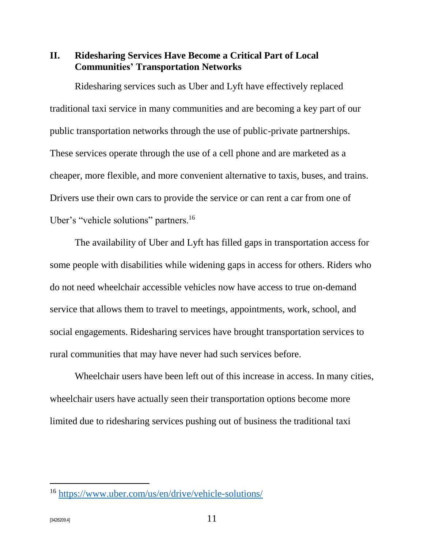<span id="page-11-0"></span>**II. Ridesharing Services Have Become a Critical Part of Local Communities' Transportation Networks**

Ridesharing services such as Uber and Lyft have effectively replaced traditional taxi service in many communities and are becoming a key part of our public transportation networks through the use of public-private partnerships. These services operate through the use of a cell phone and are marketed as a cheaper, more flexible, and more convenient alternative to taxis, buses, and trains. Drivers use their own cars to provide the service or can rent a car from one of Uber's "vehicle solutions" partners.<sup>16</sup>

The availability of Uber and Lyft has filled gaps in transportation access for some people with disabilities while widening gaps in access for others. Riders who do not need wheelchair accessible vehicles now have access to true on-demand service that allows them to travel to meetings, appointments, work, school, and social engagements. Ridesharing services have brought transportation services to rural communities that may have never had such services before.

Wheelchair users have been left out of this increase in access. In many cities, wheelchair users have actually seen their transportation options become more limited due to ridesharing services pushing out of business the traditional taxi

<sup>16</sup> <https://www.uber.com/us/en/drive/vehicle-solutions/>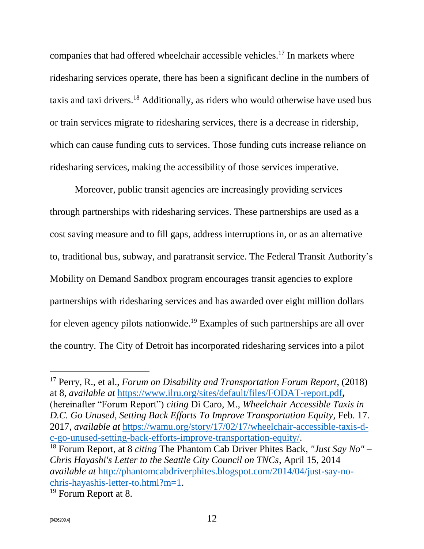companies that had offered wheelchair accessible vehicles.<sup>17</sup> In markets where ridesharing services operate, there has been a significant decline in the numbers of taxis and taxi drivers.<sup>18</sup> Additionally, as riders who would otherwise have used bus or train services migrate to ridesharing services, there is a decrease in ridership, which can cause funding cuts to services. Those funding cuts increase reliance on ridesharing services, making the accessibility of those services imperative.

Moreover, public transit agencies are increasingly providing services through partnerships with ridesharing services. These partnerships are used as a cost saving measure and to fill gaps, address interruptions in, or as an alternative to, traditional bus, subway, and paratransit service. The Federal Transit Authority's Mobility on Demand Sandbox program encourages transit agencies to explore partnerships with ridesharing services and has awarded over eight million dollars for eleven agency pilots nationwide.<sup>19</sup> Examples of such partnerships are all over the country. The City of Detroit has incorporated ridesharing services into a pilot

<sup>17</sup> Perry, R., et al., *Forum on Disability and Transportation Forum Report*, (2018) at 8, *available at* <https://www.ilru.org/sites/default/files/FODAT-report.pdf>**,**  (hereinafter "Forum Report") *citing* Di Caro, M., *Wheelchair Accessible Taxis in D.C. Go Unused, Setting Back Efforts To Improve Transportation Equity*, Feb. 17. 2017, *available at* [https://wamu.org/story/17/02/17/wheelchair-accessible-taxis-d](https://wamu.org/story/17/02/17/wheelchair-accessible-taxis-d-c-go-unused-setting-back-efforts-improve-transportation-equity/)[c-go-unused-setting-back-efforts-improve-transportation-equity/.](https://wamu.org/story/17/02/17/wheelchair-accessible-taxis-d-c-go-unused-setting-back-efforts-improve-transportation-equity/)

<sup>18</sup> Forum Report, at 8 *citing* The Phantom Cab Driver Phites Back, *"Just Say No" – Chris Hayashi's Letter to the Seattle City Council on TNCs*, April 15, 2014 *available at* [http://phantomcabdriverphites.blogspot.com/2014/04/just-say-no](http://phantomcabdriverphites.blogspot.com/2014/04/just-say-no-chris-hayashis-letter-to.html?m=1)[chris-hayashis-letter-to.html?m=1.](http://phantomcabdriverphites.blogspot.com/2014/04/just-say-no-chris-hayashis-letter-to.html?m=1)

<sup>19</sup> Forum Report at 8.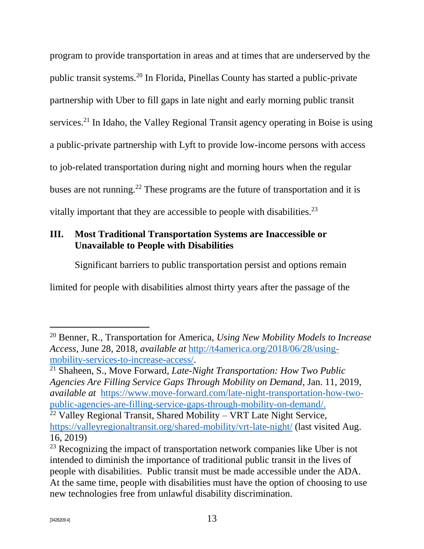program to provide transportation in areas and at times that are underserved by the public transit systems.<sup>20</sup> In Florida, Pinellas County has started a public-private partnership with Uber to fill gaps in late night and early morning public transit services.<sup>21</sup> In Idaho, the Valley Regional Transit agency operating in Boise is using a public-private partnership with Lyft to provide low-income persons with access to job-related transportation during night and morning hours when the regular buses are not running.<sup>22</sup> These programs are the future of transportation and it is vitally important that they are accessible to people with disabilities.<sup>23</sup>

## <span id="page-13-0"></span>**III. Most Traditional Transportation Systems are Inaccessible or Unavailable to People with Disabilities**

Significant barriers to public transportation persist and options remain

limited for people with disabilities almost thirty years after the passage of the

<sup>20</sup> Benner, R., Transportation for America, *Using New Mobility Models to Increase Access*, June 28, 2018, *available at* [http://t4america.org/2018/06/28/using](http://t4america.org/2018/06/28/using-mobility-services-to-increase-access/)[mobility-services-to-increase-access/.](http://t4america.org/2018/06/28/using-mobility-services-to-increase-access/)

<sup>21</sup> Shaheen, S., Move Forward*, Late-Night Transportation: How Two Public Agencies Are Filling Service Gaps Through Mobility on Demand*, Jan. 11, 2019, *available at* [https://www.move-forward.com/late-night-transportation-how-two](https://www.move-forward.com/late-night-transportation-how-two-public-agencies-are-filling-service-gaps-through-mobility-on-demand/)[public-agencies-are-filling-service-gaps-through-mobility-on-demand/.](https://www.move-forward.com/late-night-transportation-how-two-public-agencies-are-filling-service-gaps-through-mobility-on-demand/)

 $^{22}$  Valley Regional Transit, Shared Mobility – VRT Late Night Service, <https://valleyregionaltransit.org/shared-mobility/vrt-late-night/> (last visited Aug. 16, 2019)

<sup>&</sup>lt;sup>23</sup> Recognizing the impact of transportation network companies like Uber is not intended to diminish the importance of traditional public transit in the lives of people with disabilities. Public transit must be made accessible under the ADA. At the same time, people with disabilities must have the option of choosing to use new technologies free from unlawful disability discrimination.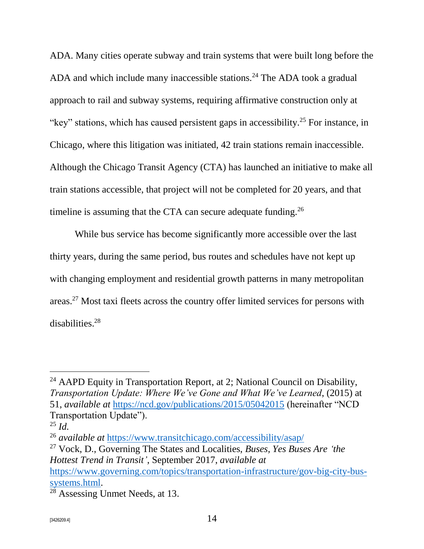ADA. Many cities operate subway and train systems that were built long before the ADA and which include many inaccessible stations.<sup>24</sup> The ADA took a gradual approach to rail and subway systems, requiring affirmative construction only at "key" stations, which has caused persistent gaps in accessibility.<sup>25</sup> For instance, in Chicago, where this litigation was initiated, 42 train stations remain inaccessible. Although the Chicago Transit Agency (CTA) has launched an initiative to make all train stations accessible, that project will not be completed for 20 years, and that timeline is assuming that the CTA can secure adequate funding.<sup>26</sup>

While bus service has become significantly more accessible over the last thirty years, during the same period, bus routes and schedules have not kept up with changing employment and residential growth patterns in many metropolitan areas.<sup>27</sup> Most taxi fleets across the country offer limited services for persons with disabilities.<sup>28</sup>

<sup>&</sup>lt;sup>24</sup> AAPD Equity in Transportation Report, at 2; National Council on Disability, *Transportation Update: Where We've Gone and What We've Learned*, (2015) at 51, *available at* <https://ncd.gov/publications/2015/05042015> (hereinafter "NCD Transportation Update").

 $^{25}$  *Id.* 

<sup>26</sup> *available at* <https://www.transitchicago.com/accessibility/asap/>

<sup>27</sup> Vock, D., Governing The States and Localities, *Buses, Yes Buses Are 'the Hottest Trend in Transit'*, September 2017, *available at*

[https://www.governing.com/topics/transportation-infrastructure/gov-big-city-bus](https://www.governing.com/topics/transportation-infrastructure/gov-big-city-bus-systems.html)[systems.html.](https://www.governing.com/topics/transportation-infrastructure/gov-big-city-bus-systems.html)

<sup>28</sup> Assessing Unmet Needs, at 13.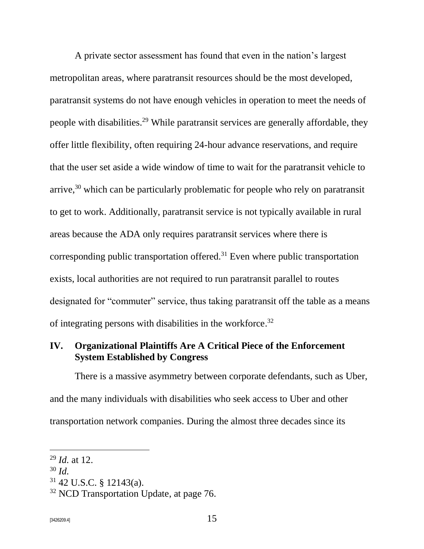A private sector assessment has found that even in the nation's largest metropolitan areas, where paratransit resources should be the most developed, paratransit systems do not have enough vehicles in operation to meet the needs of people with disabilities.<sup>29</sup> While paratransit services are generally affordable, they offer little flexibility, often requiring 24-hour advance reservations, and require that the user set aside a wide window of time to wait for the paratransit vehicle to arrive,<sup>30</sup> which can be particularly problematic for people who rely on paratransit to get to work. Additionally, paratransit service is not typically available in rural areas because the ADA only requires paratransit services where there is corresponding public transportation offered.<sup>31</sup> Even where public transportation exists, local authorities are not required to run paratransit parallel to routes designated for "commuter" service, thus taking paratransit off the table as a means of integrating persons with disabilities in the workforce.<sup>32</sup>

### <span id="page-15-0"></span>**IV. Organizational Plaintiffs Are A Critical Piece of the Enforcement System Established by Congress**

There is a massive asymmetry between corporate defendants, such as Uber, and the many individuals with disabilities who seek access to Uber and other transportation network companies. During the almost three decades since its

<sup>29</sup> *Id.* at 12.

<sup>30</sup> *Id.*

<sup>31</sup> 42 U.S.C. § 12143(a).

<sup>&</sup>lt;sup>32</sup> NCD Transportation Update, at page 76.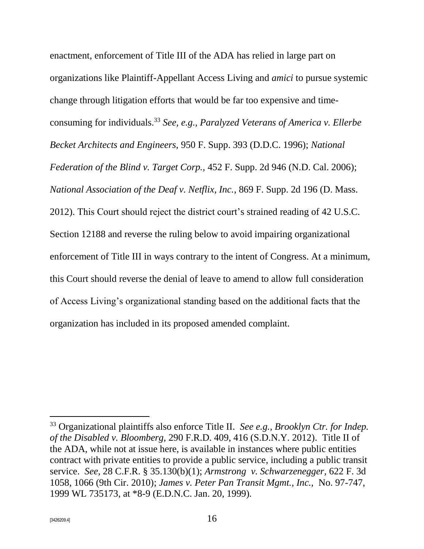enactment, enforcement of Title III of the ADA has relied in large part on organizations like Plaintiff-Appellant Access Living and *amici* to pursue systemic change through litigation efforts that would be far too expensive and timeconsuming for individuals.<sup>33</sup> *See, e.g., Paralyzed Veterans of America v. Ellerbe Becket Architects and Engineers,* 950 F. Supp. 393 (D.D.C. 1996); *National Federation of the Blind v. Target Corp.,* 452 F. Supp. 2d 946 (N.D. Cal. 2006); *National Association of the Deaf v. Netflix, Inc.*, 869 F. Supp. 2d 196 (D. Mass. 2012). This Court should reject the district court's strained reading of 42 U.S.C. Section 12188 and reverse the ruling below to avoid impairing organizational enforcement of Title III in ways contrary to the intent of Congress. At a minimum, this Court should reverse the denial of leave to amend to allow full consideration of Access Living's organizational standing based on the additional facts that the organization has included in its proposed amended complaint.

<sup>33</sup> Organizational plaintiffs also enforce Title II. *See e.g., Brooklyn Ctr. for Indep. of the Disabled v. Bloomberg,* 290 F.R.D. 409, 416 (S.D.N.Y. 2012).Title II of the ADA, while not at issue here, is available in instances where public entities contract with private entities to provide a public service, including a public transit service. *See,* 28 C.F.R. § 35.130(b)(1); *Armstrong v. Schwarzenegger,* 622 F. 3d 1058, 1066 (9th Cir. 2010); *James v. Peter Pan Transit Mgmt., Inc.,* No. 97-747, 1999 WL 735173, at \*8-9 (E.D.N.C. Jan. 20, 1999)*.*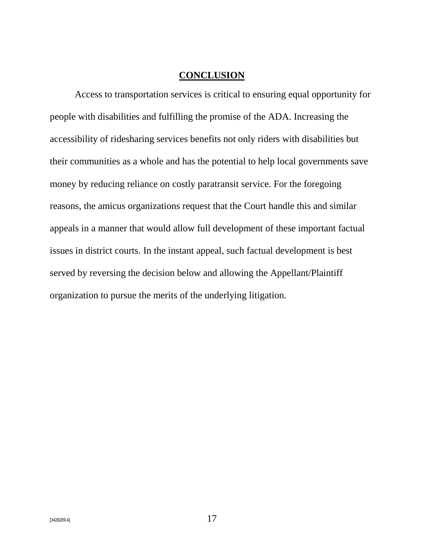#### **CONCLUSION**

<span id="page-17-0"></span>Access to transportation services is critical to ensuring equal opportunity for people with disabilities and fulfilling the promise of the ADA. Increasing the accessibility of ridesharing services benefits not only riders with disabilities but their communities as a whole and has the potential to help local governments save money by reducing reliance on costly paratransit service. For the foregoing reasons, the amicus organizations request that the Court handle this and similar appeals in a manner that would allow full development of these important factual issues in district courts. In the instant appeal, such factual development is best served by reversing the decision below and allowing the Appellant/Plaintiff organization to pursue the merits of the underlying litigation.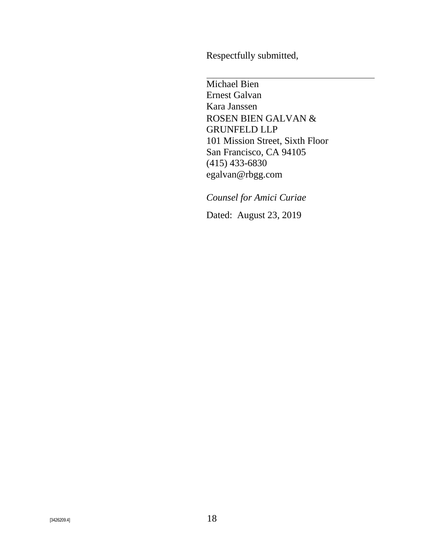Respectfully submitted,

Michael Bien Ernest Galvan Kara Janssen ROSEN BIEN GALVAN & GRUNFELD LLP 101 Mission Street, Sixth Floor San Francisco, CA 94105 (415) 433-6830 egalvan@rbgg.com

*Counsel for Amici Curiae*

Dated: August 23, 2019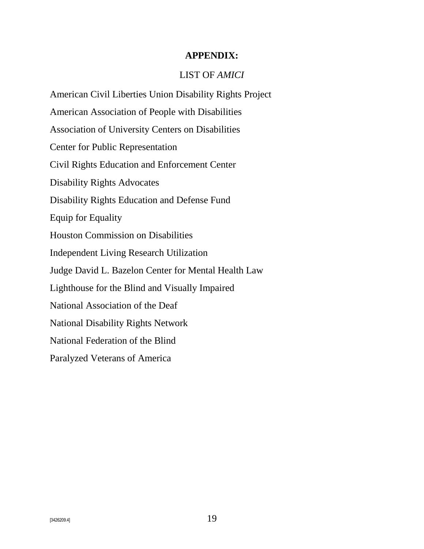#### **APPENDIX:**

#### LIST OF *AMICI*

<span id="page-19-0"></span>American Civil Liberties Union Disability Rights Project American Association of People with Disabilities Association of University Centers on Disabilities Center for Public Representation Civil Rights Education and Enforcement Center Disability Rights Advocates Disability Rights Education and Defense Fund Equip for Equality Houston Commission on Disabilities Independent Living Research Utilization Judge David L. Bazelon Center for Mental Health Law Lighthouse for the Blind and Visually Impaired National Association of the Deaf National Disability Rights Network National Federation of the Blind Paralyzed Veterans of America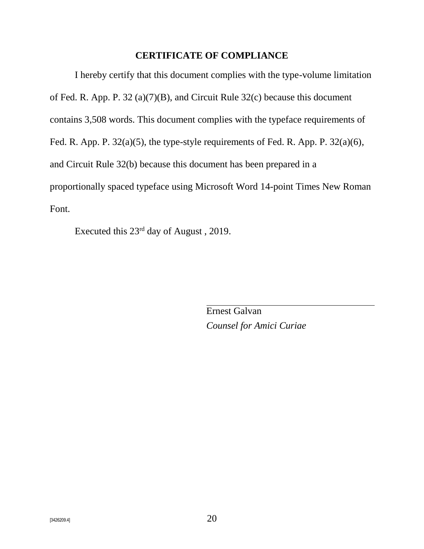#### **CERTIFICATE OF COMPLIANCE**

<span id="page-20-0"></span>I hereby certify that this document complies with the type-volume limitation of Fed. R. App. P. 32 (a)(7)(B), and Circuit Rule 32(c) because this document contains 3,508 words. This document complies with the typeface requirements of Fed. R. App. P. 32(a)(5), the type-style requirements of Fed. R. App. P. 32(a)(6), and Circuit Rule 32(b) because this document has been prepared in a proportionally spaced typeface using Microsoft Word 14-point Times New Roman Font.

Executed this 23rd day of August , 2019.

Ernest Galvan *Counsel for Amici Curiae*